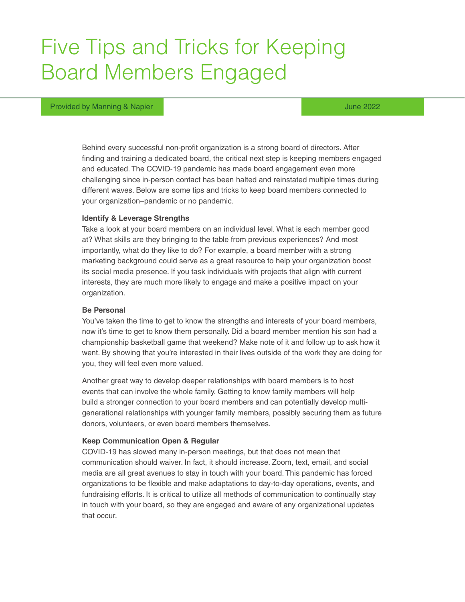# Five Tips and Tricks for Keeping Board Members Engaged

#### Provided by Manning & Napier June 2022 and the United States of the United States of the United States of the U

Behind every successful non-profit organization is a strong board of directors. After finding and training a dedicated board, the critical next step is keeping members engaged and educated. The COVID-19 pandemic has made board engagement even more challenging since in-person contact has been halted and reinstated multiple times during different waves. Below are some tips and tricks to keep board members connected to your organization–pandemic or no pandemic.

#### **Identify & Leverage Strengths**

Take a look at your board members on an individual level. What is each member good at? What skills are they bringing to the table from previous experiences? And most importantly, what do they like to do? For example, a board member with a strong marketing background could serve as a great resource to help your organization boost its social media presence. If you task individuals with projects that align with current interests, they are much more likely to engage and make a positive impact on your organization.

## **Be Personal**

You've taken the time to get to know the strengths and interests of your board members, now it's time to get to know them personally. Did a board member mention his son had a championship basketball game that weekend? Make note of it and follow up to ask how it went. By showing that you're interested in their lives outside of the work they are doing for you, they will feel even more valued.

Another great way to develop deeper relationships with board members is to host events that can involve the whole family. Getting to know family members will help build a stronger connection to your board members and can potentially develop multigenerational relationships with younger family members, possibly securing them as future donors, volunteers, or even board members themselves.

### **Keep Communication Open & Regular**

COVID-19 has slowed many in-person meetings, but that does not mean that communication should waiver. In fact, it should increase. Zoom, text, email, and social media are all great avenues to stay in touch with your board. This pandemic has forced organizations to be flexible and make adaptations to day-to-day operations, events, and fundraising efforts. It is critical to utilize all methods of communication to continually stay in touch with your board, so they are engaged and aware of any organizational updates that occur.